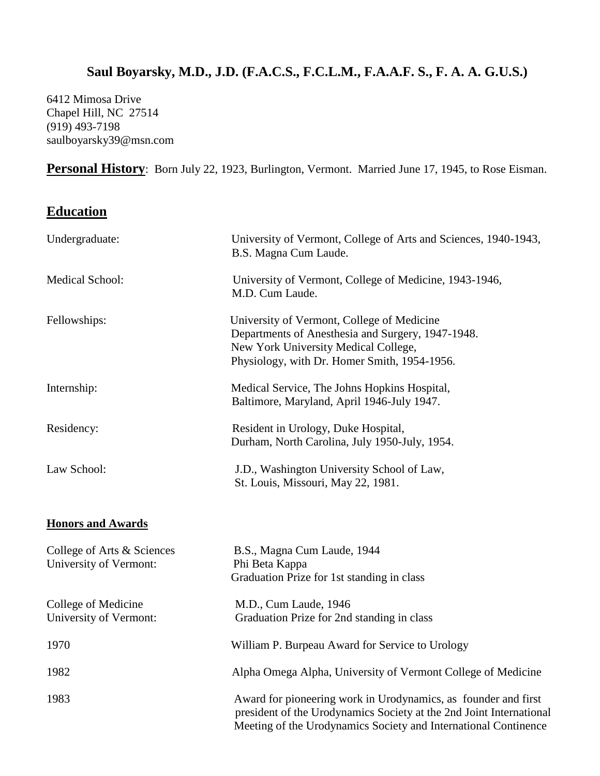# **Saul Boyarsky, M.D., J.D. (F.A.C.S., F.C.L.M., F.A.A.F. S., F. A. A. G.U.S.)**

6412 Mimosa Drive Chapel Hill, NC 27514 (919) 493-7198 saulboyarsky39@msn.com

Personal History: Born July 22, 1923, Burlington, Vermont. Married June 17, 1945, to Rose Eisman.

## **Education**

| Undergraduate:                                       | University of Vermont, College of Arts and Sciences, 1940-1943,<br>B.S. Magna Cum Laude.                                                                                                                 |
|------------------------------------------------------|----------------------------------------------------------------------------------------------------------------------------------------------------------------------------------------------------------|
| Medical School:                                      | University of Vermont, College of Medicine, 1943-1946,<br>M.D. Cum Laude.                                                                                                                                |
| Fellowships:                                         | University of Vermont, College of Medicine<br>Departments of Anesthesia and Surgery, 1947-1948.<br>New York University Medical College,<br>Physiology, with Dr. Homer Smith, 1954-1956.                  |
| Internship:                                          | Medical Service, The Johns Hopkins Hospital,<br>Baltimore, Maryland, April 1946-July 1947.                                                                                                               |
| Residency:                                           | Resident in Urology, Duke Hospital,<br>Durham, North Carolina, July 1950-July, 1954.                                                                                                                     |
| Law School:                                          | J.D., Washington University School of Law,<br>St. Louis, Missouri, May 22, 1981.                                                                                                                         |
| <b>Honors and Awards</b>                             |                                                                                                                                                                                                          |
| College of Arts & Sciences<br>University of Vermont: | B.S., Magna Cum Laude, 1944<br>Phi Beta Kappa<br>Graduation Prize for 1st standing in class                                                                                                              |
| College of Medicine<br>University of Vermont:        | M.D., Cum Laude, 1946<br>Graduation Prize for 2nd standing in class                                                                                                                                      |
| 1970                                                 | William P. Burpeau Award for Service to Urology                                                                                                                                                          |
| 1982                                                 | Alpha Omega Alpha, University of Vermont College of Medicine                                                                                                                                             |
| 1983                                                 | Award for pioneering work in Urodynamics, as founder and first<br>president of the Urodynamics Society at the 2nd Joint International<br>Meeting of the Urodynamics Society and International Continence |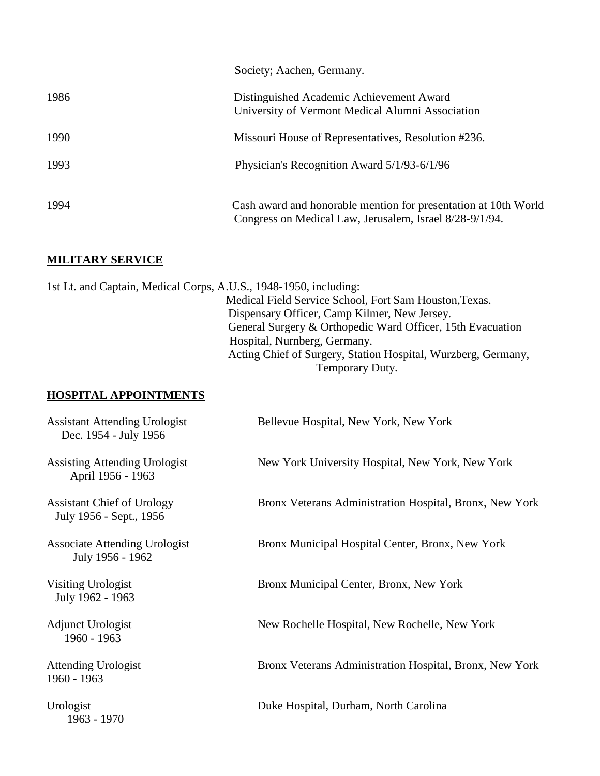|      | Society; Aachen, Germany.                                                                                                  |
|------|----------------------------------------------------------------------------------------------------------------------------|
| 1986 | Distinguished Academic Achievement Award<br>University of Vermont Medical Alumni Association                               |
| 1990 | Missouri House of Representatives, Resolution #236.                                                                        |
| 1993 | Physician's Recognition Award 5/1/93-6/1/96                                                                                |
| 1994 | Cash award and honorable mention for presentation at 10th World<br>Congress on Medical Law, Jerusalem, Israel 8/28-9/1/94. |

### **MILITARY SERVICE**

1st Lt. and Captain, Medical Corps, A.U.S., 1948-1950, including: Medical Field Service School, Fort Sam Houston,Texas. Dispensary Officer, Camp Kilmer, New Jersey. General Surgery & Orthopedic Ward Officer, 15th Evacuation Hospital, Nurnberg, Germany. Acting Chief of Surgery, Station Hospital, Wurzberg, Germany, Temporary Duty.

### **HOSPITAL APPOINTMENTS**

| <b>Assistant Attending Urologist</b><br>Dec. 1954 - July 1956 | Bellevue Hospital, New York, New York                   |
|---------------------------------------------------------------|---------------------------------------------------------|
| Assisting Attending Urologist<br>April 1956 - 1963            | New York University Hospital, New York, New York        |
| <b>Assistant Chief of Urology</b><br>July 1956 - Sept., 1956  | Bronx Veterans Administration Hospital, Bronx, New York |
| <b>Associate Attending Urologist</b><br>July 1956 - 1962      | Bronx Municipal Hospital Center, Bronx, New York        |
| Visiting Urologist<br>July 1962 - 1963                        | Bronx Municipal Center, Bronx, New York                 |
| Adjunct Urologist<br>1960 - 1963                              | New Rochelle Hospital, New Rochelle, New York           |
| <b>Attending Urologist</b><br>1960 - 1963                     | Bronx Veterans Administration Hospital, Bronx, New York |
| Urologist<br>1963 - 1970                                      | Duke Hospital, Durham, North Carolina                   |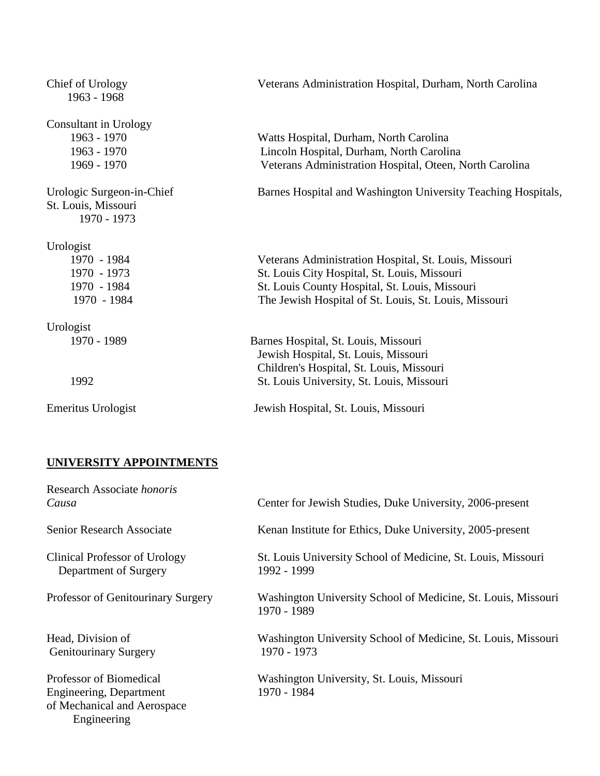| Chief of Urology<br>1963 - 1968                                 | Veterans Administration Hospital, Durham, North Carolina      |
|-----------------------------------------------------------------|---------------------------------------------------------------|
| Consultant in Urology<br>1963 - 1970                            | Watts Hospital, Durham, North Carolina                        |
| 1963 - 1970                                                     | Lincoln Hospital, Durham, North Carolina                      |
| 1969 - 1970                                                     | Veterans Administration Hospital, Oteen, North Carolina       |
| Urologic Surgeon-in-Chief<br>St. Louis, Missouri<br>1970 - 1973 | Barnes Hospital and Washington University Teaching Hospitals, |
| Urologist                                                       |                                                               |
| 1970 - 1984                                                     | Veterans Administration Hospital, St. Louis, Missouri         |
| 1970 - 1973                                                     | St. Louis City Hospital, St. Louis, Missouri                  |
| 1970 - 1984                                                     | St. Louis County Hospital, St. Louis, Missouri                |
| 1970 - 1984                                                     | The Jewish Hospital of St. Louis, St. Louis, Missouri         |
| Urologist                                                       |                                                               |
| 1970 - 1989                                                     | Barnes Hospital, St. Louis, Missouri                          |
|                                                                 | Jewish Hospital, St. Louis, Missouri                          |
|                                                                 | Children's Hospital, St. Louis, Missouri                      |
| 1992                                                            | St. Louis University, St. Louis, Missouri                     |
| Emeritus Urologist                                              | Jewish Hospital, St. Louis, Missouri                          |

## **UNIVERSITY APPOINTMENTS**

| Research Associate <i>honoris</i><br>Causa                                                       | Center for Jewish Studies, Duke University, 2006-present                     |
|--------------------------------------------------------------------------------------------------|------------------------------------------------------------------------------|
| <b>Senior Research Associate</b>                                                                 | Kenan Institute for Ethics, Duke University, 2005-present                    |
| Clinical Professor of Urology<br>Department of Surgery                                           | St. Louis University School of Medicine, St. Louis, Missouri<br>1992 - 1999  |
| Professor of Genitourinary Surgery                                                               | Washington University School of Medicine, St. Louis, Missouri<br>1970 - 1989 |
| Head, Division of<br><b>Genitourinary Surgery</b>                                                | Washington University School of Medicine, St. Louis, Missouri<br>1970 - 1973 |
| Professor of Biomedical<br>Engineering, Department<br>of Mechanical and Aerospace<br>Engineering | Washington University, St. Louis, Missouri<br>1970 - 1984                    |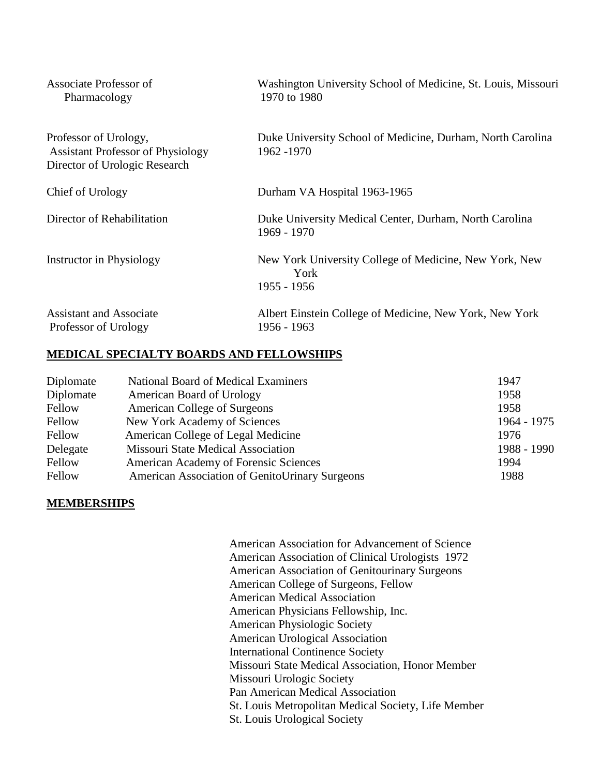| Associate Professor of<br>Pharmacology                                                             | Washington University School of Medicine, St. Louis, Missouri<br>1970 to 1980 |
|----------------------------------------------------------------------------------------------------|-------------------------------------------------------------------------------|
| Professor of Urology,<br><b>Assistant Professor of Physiology</b><br>Director of Urologic Research | Duke University School of Medicine, Durham, North Carolina<br>1962 - 1970     |
| Chief of Urology                                                                                   | Durham VA Hospital 1963-1965                                                  |
| Director of Rehabilitation                                                                         | Duke University Medical Center, Durham, North Carolina<br>1969 - 1970         |
| <b>Instructor in Physiology</b>                                                                    | New York University College of Medicine, New York, New<br>York<br>1955 - 1956 |
| <b>Assistant and Associate</b><br>Professor of Urology                                             | Albert Einstein College of Medicine, New York, New York<br>1956 - 1963        |

#### **MEDICAL SPECIALTY BOARDS AND FELLOWSHIPS**

| Diplomate | National Board of Medical Examiners            | 1947        |
|-----------|------------------------------------------------|-------------|
| Diplomate | American Board of Urology                      | 1958        |
| Fellow    | <b>American College of Surgeons</b>            | 1958        |
| Fellow    | New York Academy of Sciences                   | 1964 - 1975 |
| Fellow    | American College of Legal Medicine             | 1976        |
| Delegate  | Missouri State Medical Association             | 1988 - 1990 |
| Fellow    | American Academy of Forensic Sciences          | 1994        |
| Fellow    | American Association of GenitoUrinary Surgeons | 1988        |

#### **MEMBERSHIPS**

 American Association for Advancement of Science American Association of Clinical Urologists 1972 American Association of Genitourinary Surgeons American College of Surgeons, Fellow American Medical Association American Physicians Fellowship, Inc. American Physiologic Society American Urological Association International Continence Society Missouri State Medical Association, Honor Member Missouri Urologic Society Pan American Medical Association St. Louis Metropolitan Medical Society, Life Member St. Louis Urological Society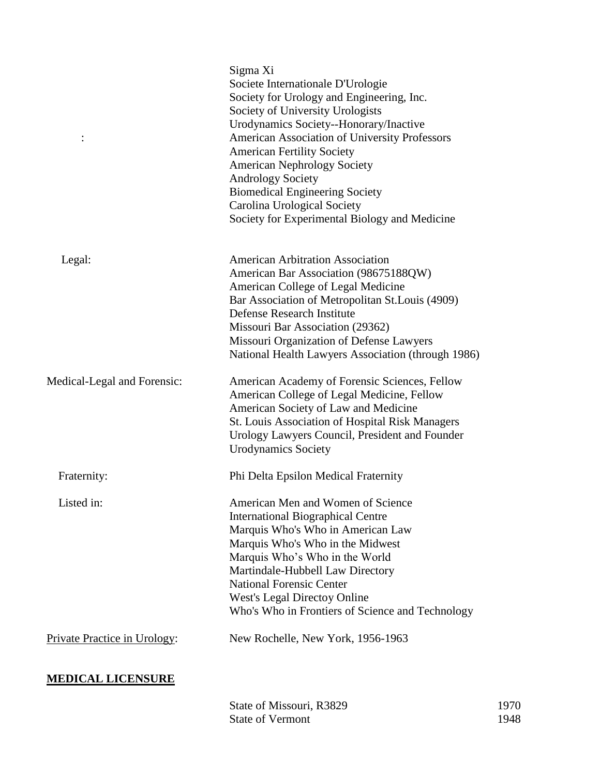|                              | Sigma Xi                                                                                                                                                                               |
|------------------------------|----------------------------------------------------------------------------------------------------------------------------------------------------------------------------------------|
|                              | Societe Internationale D'Urologie                                                                                                                                                      |
|                              | Society for Urology and Engineering, Inc.                                                                                                                                              |
|                              | Society of University Urologists                                                                                                                                                       |
|                              | Urodynamics Society--Honorary/Inactive                                                                                                                                                 |
|                              | American Association of University Professors                                                                                                                                          |
|                              | <b>American Fertility Society</b>                                                                                                                                                      |
|                              | <b>American Nephrology Society</b>                                                                                                                                                     |
|                              | <b>Andrology Society</b>                                                                                                                                                               |
|                              | <b>Biomedical Engineering Society</b>                                                                                                                                                  |
|                              | Carolina Urological Society                                                                                                                                                            |
|                              | Society for Experimental Biology and Medicine                                                                                                                                          |
| Legal:                       | <b>American Arbitration Association</b>                                                                                                                                                |
|                              | American Bar Association (98675188QW)                                                                                                                                                  |
|                              | American College of Legal Medicine                                                                                                                                                     |
|                              | Bar Association of Metropolitan St. Louis (4909)                                                                                                                                       |
|                              | Defense Research Institute                                                                                                                                                             |
|                              | Missouri Bar Association (29362)                                                                                                                                                       |
|                              | Missouri Organization of Defense Lawyers                                                                                                                                               |
|                              | National Health Lawyers Association (through 1986)                                                                                                                                     |
| Medical-Legal and Forensic:  | American Academy of Forensic Sciences, Fellow<br>American College of Legal Medicine, Fellow<br>American Society of Law and Medicine<br>St. Louis Association of Hospital Risk Managers |
|                              | Urology Lawyers Council, President and Founder<br><b>Urodynamics Society</b>                                                                                                           |
| Fraternity:                  | Phi Delta Epsilon Medical Fraternity                                                                                                                                                   |
| Listed in:                   | American Men and Women of Science                                                                                                                                                      |
|                              | <b>International Biographical Centre</b>                                                                                                                                               |
|                              | Marquis Who's Who in American Law                                                                                                                                                      |
|                              | Marquis Who's Who in the Midwest                                                                                                                                                       |
|                              | Marquis Who's Who in the World                                                                                                                                                         |
|                              | Martindale-Hubbell Law Directory                                                                                                                                                       |
|                              | <b>National Forensic Center</b>                                                                                                                                                        |
|                              | West's Legal Directoy Online                                                                                                                                                           |
|                              | Who's Who in Frontiers of Science and Technology                                                                                                                                       |
| Private Practice in Urology: | New Rochelle, New York, 1956-1963                                                                                                                                                      |
| <b>MEDICAL LICENSURE</b>     |                                                                                                                                                                                        |

## State of Missouri, R3829 1970<br>State of Vermont 1948 State of Vermont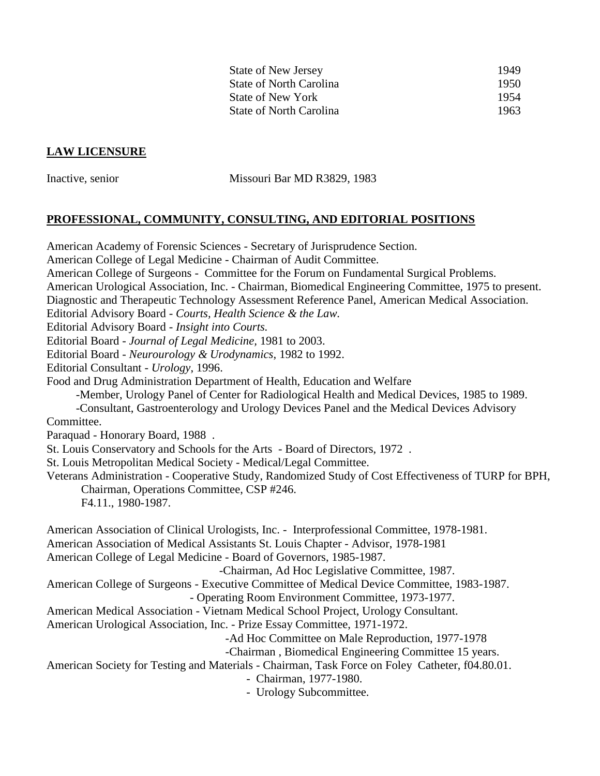| <b>State of New Jersey</b> | 1949  |
|----------------------------|-------|
| State of North Carolina    | 1950. |
| State of New York          | 1954  |
| State of North Carolina    | 1963  |

#### **LAW LICENSURE**

Inactive, senior Missouri Bar MD R3829, 1983

#### **PROFESSIONAL, COMMUNITY, CONSULTING, AND EDITORIAL POSITIONS**

American Academy of Forensic Sciences - Secretary of Jurisprudence Section. American College of Legal Medicine - Chairman of Audit Committee. American College of Surgeons - Committee for the Forum on Fundamental Surgical Problems. American Urological Association, Inc. - Chairman, Biomedical Engineering Committee, 1975 to present. Diagnostic and Therapeutic Technology Assessment Reference Panel, American Medical Association. Editorial Advisory Board - *Courts, Health Science & the Law.* Editorial Advisory Board - *Insight into Courts.* Editorial Board - *Journal of Legal Medicine,* 1981 to 2003. Editorial Board - *Neurourology & Urodynamics*, 1982 to 1992. Editorial Consultant - *Urology*, 1996. Food and Drug Administration Department of Health, Education and Welfare -Member, Urology Panel of Center for Radiological Health and Medical Devices, 1985 to 1989. -Consultant, Gastroenterology and Urology Devices Panel and the Medical Devices Advisory Committee. Paraquad - Honorary Board, 1988 . St. Louis Conservatory and Schools for the Arts - Board of Directors, 1972 . St. Louis Metropolitan Medical Society - Medical/Legal Committee. Veterans Administration - Cooperative Study, Randomized Study of Cost Effectiveness of TURP for BPH, Chairman, Operations Committee, CSP #246. F4.11., 1980-1987. American Association of Clinical Urologists, Inc. - Interprofessional Committee, 1978-1981. American Association of Medical Assistants St. Louis Chapter - Advisor, 1978-1981 American College of Legal Medicine - Board of Governors, 1985-1987. -Chairman, Ad Hoc Legislative Committee, 1987. American College of Surgeons - Executive Committee of Medical Device Committee, 1983-1987. - Operating Room Environment Committee, 1973-1977. American Medical Association - Vietnam Medical School Project, Urology Consultant. American Urological Association, Inc. - Prize Essay Committee, 1971-1972. -Ad Hoc Committee on Male Reproduction, 1977-1978 -Chairman , Biomedical Engineering Committee 15 years. American Society for Testing and Materials - Chairman, Task Force on Foley Catheter, f04.80.01. - Chairman, 1977-1980. - Urology Subcommittee.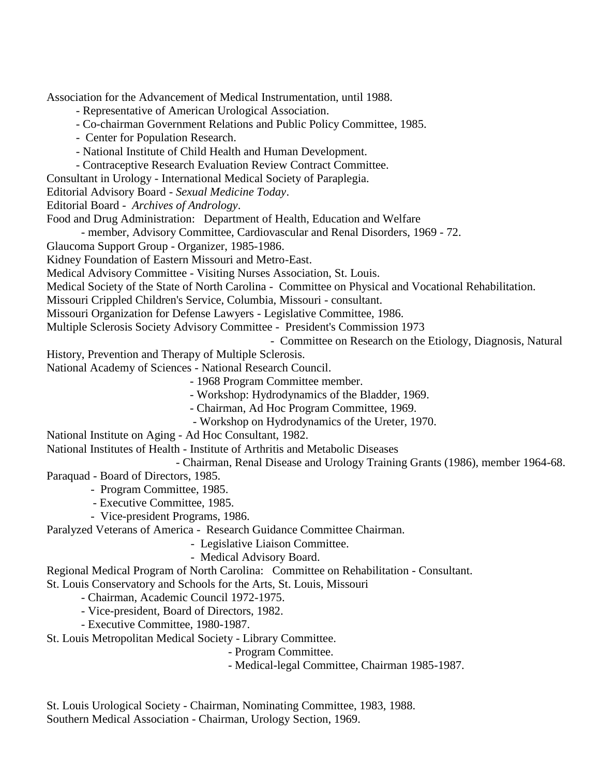Association for the Advancement of Medical Instrumentation, until 1988.

- Representative of American Urological Association.

- Co-chairman Government Relations and Public Policy Committee, 1985.
- Center for Population Research.
- National Institute of Child Health and Human Development.
- Contraceptive Research Evaluation Review Contract Committee.
- Consultant in Urology International Medical Society of Paraplegia.

Editorial Advisory Board - *Sexual Medicine Today*.

Editorial Board - *Archives of Andrology*.

Food and Drug Administration: Department of Health, Education and Welfare

- member, Advisory Committee, Cardiovascular and Renal Disorders, 1969 - 72.

Glaucoma Support Group - Organizer, 1985-1986.

Kidney Foundation of Eastern Missouri and Metro-East.

Medical Advisory Committee - Visiting Nurses Association, St. Louis.

Medical Society of the State of North Carolina - Committee on Physical and Vocational Rehabilitation.

Missouri Crippled Children's Service, Columbia, Missouri - consultant.

Missouri Organization for Defense Lawyers - Legislative Committee, 1986.

Multiple Sclerosis Society Advisory Committee - President's Commission 1973

- Committee on Research on the Etiology, Diagnosis, Natural

History, Prevention and Therapy of Multiple Sclerosis.

National Academy of Sciences - National Research Council.

- 1968 Program Committee member.

- Workshop: Hydrodynamics of the Bladder, 1969.

- Chairman, Ad Hoc Program Committee, 1969.
- Workshop on Hydrodynamics of the Ureter, 1970.

National Institute on Aging - Ad Hoc Consultant, 1982.

National Institutes of Health - Institute of Arthritis and Metabolic Diseases

 - Chairman, Renal Disease and Urology Training Grants (1986), member 1964-68. Paraquad - Board of Directors, 1985.

- Program Committee, 1985.

- Executive Committee, 1985.
- Vice-president Programs, 1986.

Paralyzed Veterans of America - Research Guidance Committee Chairman.

- Legislative Liaison Committee.

- Medical Advisory Board.

Regional Medical Program of North Carolina: Committee on Rehabilitation - Consultant. St. Louis Conservatory and Schools for the Arts, St. Louis, Missouri

- Chairman, Academic Council 1972-1975.

- Vice-president, Board of Directors, 1982.

- Executive Committee, 1980-1987.

St. Louis Metropolitan Medical Society - Library Committee.

- Program Committee.

- Medical-legal Committee, Chairman 1985-1987.

St. Louis Urological Society - Chairman, Nominating Committee, 1983, 1988. Southern Medical Association - Chairman, Urology Section, 1969.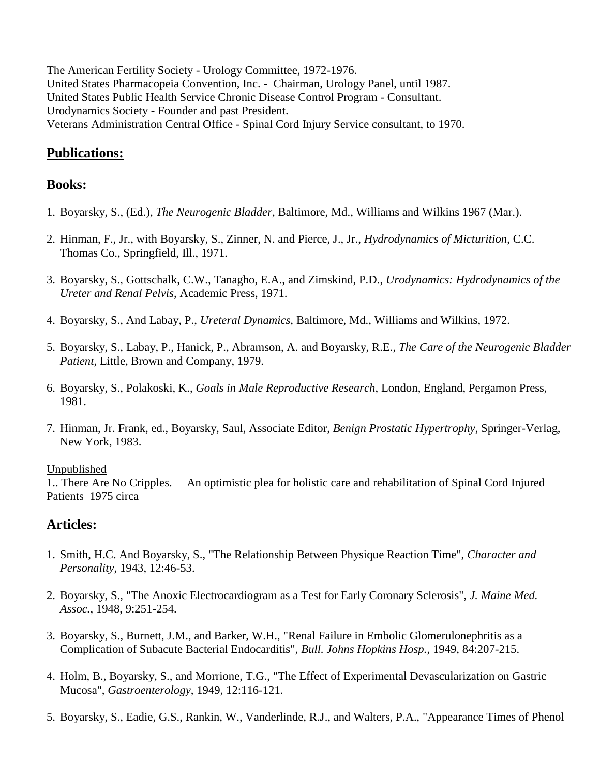The American Fertility Society - Urology Committee, 1972-1976. United States Pharmacopeia Convention, Inc. - Chairman, Urology Panel, until 1987. United States Public Health Service Chronic Disease Control Program - Consultant. Urodynamics Society - Founder and past President. Veterans Administration Central Office - Spinal Cord Injury Service consultant, to 1970.

# **Publications:**

## **Books:**

- 1. Boyarsky, S., (Ed.), *The Neurogenic Bladder*, Baltimore, Md., Williams and Wilkins 1967 (Mar.).
- 2. Hinman, F., Jr., with Boyarsky, S., Zinner, N. and Pierce, J., Jr., *Hydrodynamics of Micturition*, C.C. Thomas Co., Springfield, Ill., 1971.
- 3. Boyarsky, S., Gottschalk, C.W., Tanagho, E.A., and Zimskind, P.D., *Urodynamics: Hydrodynamics of the Ureter and Renal Pelvis*, Academic Press, 1971.
- 4. Boyarsky, S., And Labay, P., *Ureteral Dynamics*, Baltimore, Md., Williams and Wilkins, 1972.
- 5. Boyarsky, S., Labay, P., Hanick, P., Abramson, A. and Boyarsky, R.E., *The Care of the Neurogenic Bladder Patient*, Little, Brown and Company, 1979.
- 6. Boyarsky, S., Polakoski, K., *Goals in Male Reproductive Research*, London, England, Pergamon Press, 1981.
- 7. Hinman, Jr. Frank, ed., Boyarsky, Saul, Associate Editor, *Benign Prostatic Hypertrophy*, Springer-Verlag, New York, 1983.

### Unpublished

1.. There Are No Cripples. An optimistic plea for holistic care and rehabilitation of Spinal Cord Injured Patients 1975 circa

## **Articles:**

- 1. Smith, H.C. And Boyarsky, S., "The Relationship Between Physique Reaction Time", *Character and Personality*, 1943, 12:46-53.
- 2. Boyarsky, S., "The Anoxic Electrocardiogram as a Test for Early Coronary Sclerosis", *J. Maine Med. Assoc.*, 1948, 9:251-254.
- 3. Boyarsky, S., Burnett, J.M., and Barker, W.H., "Renal Failure in Embolic Glomerulonephritis as a Complication of Subacute Bacterial Endocarditis", *Bull. Johns Hopkins Hosp.*, 1949, 84:207-215.
- 4. Holm, B., Boyarsky, S., and Morrione, T.G., "The Effect of Experimental Devascularization on Gastric Mucosa", *Gastroenterology*, 1949, 12:116-121.
- 5. Boyarsky, S., Eadie, G.S., Rankin, W., Vanderlinde, R.J., and Walters, P.A., "Appearance Times of Phenol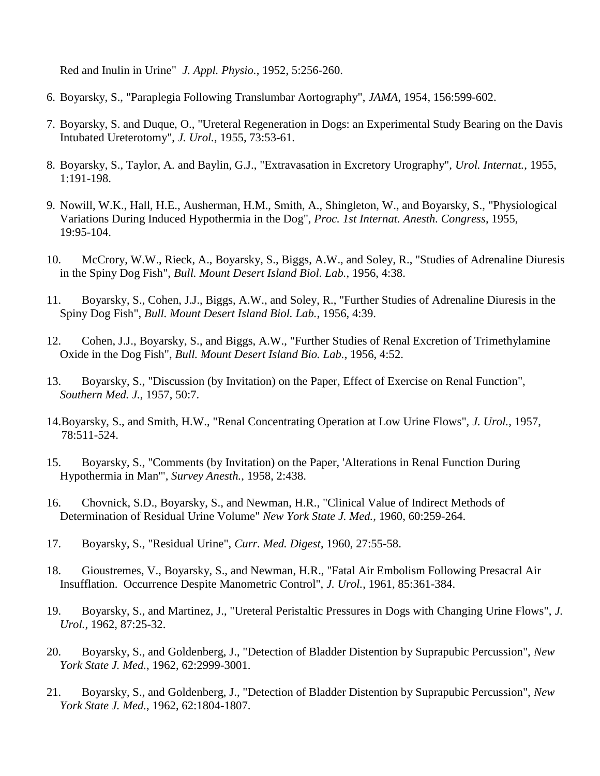Red and Inulin in Urine" *J. Appl. Physio.*, 1952, 5:256-260.

- 6. Boyarsky, S., "Paraplegia Following Translumbar Aortography", *JAMA*, 1954, 156:599-602.
- 7. Boyarsky, S. and Duque, O., "Ureteral Regeneration in Dogs: an Experimental Study Bearing on the Davis Intubated Ureterotomy", *J. Urol.*, 1955, 73:53-61.
- 8. Boyarsky, S., Taylor, A. and Baylin, G.J., "Extravasation in Excretory Urography", *Urol. Internat.*, 1955, 1:191-198.
- 9. Nowill, W.K., Hall, H.E., Ausherman, H.M., Smith, A., Shingleton, W., and Boyarsky, S., "Physiological Variations During Induced Hypothermia in the Dog", *Proc. 1st Internat. Anesth. Congress*, 1955, 19:95-104.
- 10. McCrory, W.W., Rieck, A., Boyarsky, S., Biggs, A.W., and Soley, R., "Studies of Adrenaline Diuresis in the Spiny Dog Fish", *Bull. Mount Desert Island Biol. Lab.*, 1956, 4:38.
- 11. Boyarsky, S., Cohen, J.J., Biggs, A.W., and Soley, R., "Further Studies of Adrenaline Diuresis in the Spiny Dog Fish", *Bull. Mount Desert Island Biol. Lab.*, 1956, 4:39.
- 12. Cohen, J.J., Boyarsky, S., and Biggs, A.W., "Further Studies of Renal Excretion of Trimethylamine Oxide in the Dog Fish", *Bull. Mount Desert Island Bio. Lab.*, 1956, 4:52.
- 13. Boyarsky, S., "Discussion (by Invitation) on the Paper, Effect of Exercise on Renal Function", *Southern Med. J.*, 1957, 50:7.
- 14.Boyarsky, S., and Smith, H.W., "Renal Concentrating Operation at Low Urine Flows", *J. Urol.*, 1957, 78:511-524.
- 15. Boyarsky, S., "Comments (by Invitation) on the Paper, 'Alterations in Renal Function During Hypothermia in Man'", *Survey Anesth.*, 1958, 2:438.
- 16. Chovnick, S.D., Boyarsky, S., and Newman, H.R., "Clinical Value of Indirect Methods of Determination of Residual Urine Volume" *New York State J. Med.*, 1960, 60:259-264.
- 17. Boyarsky, S., "Residual Urine", *Curr. Med. Digest*, 1960, 27:55-58.
- 18. Gioustremes, V., Boyarsky, S., and Newman, H.R., "Fatal Air Embolism Following Presacral Air Insufflation. Occurrence Despite Manometric Control", *J. Urol.*, 1961, 85:361-384.
- 19. Boyarsky, S., and Martinez, J., "Ureteral Peristaltic Pressures in Dogs with Changing Urine Flows", *J. Urol.*, 1962, 87:25-32.
- 20. Boyarsky, S., and Goldenberg, J., "Detection of Bladder Distention by Suprapubic Percussion", *New York State J. Med.*, 1962, 62:2999-3001.
- 21. Boyarsky, S., and Goldenberg, J., "Detection of Bladder Distention by Suprapubic Percussion", *New York State J. Med.*, 1962, 62:1804-1807.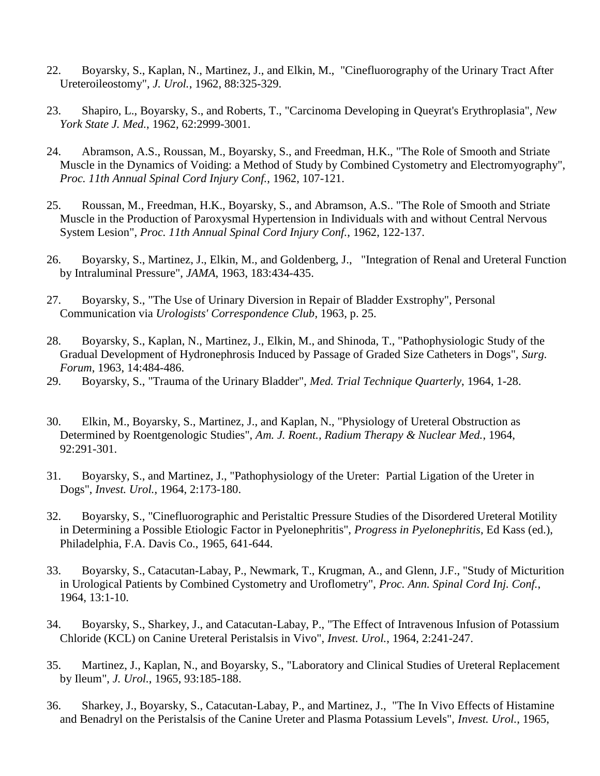- 22. Boyarsky, S., Kaplan, N., Martinez, J., and Elkin, M., "Cinefluorography of the Urinary Tract After Ureteroileostomy", *J. Urol.*, 1962, 88:325-329.
- 23. Shapiro, L., Boyarsky, S., and Roberts, T., "Carcinoma Developing in Queyrat's Erythroplasia", *New York State J. Med.*, 1962, 62:2999-3001.
- 24. Abramson, A.S., Roussan, M., Boyarsky, S., and Freedman, H.K., "The Role of Smooth and Striate Muscle in the Dynamics of Voiding: a Method of Study by Combined Cystometry and Electromyography", *Proc. 11th Annual Spinal Cord Injury Conf.*, 1962, 107-121.
- 25. Roussan, M., Freedman, H.K., Boyarsky, S., and Abramson, A.S.. "The Role of Smooth and Striate Muscle in the Production of Paroxysmal Hypertension in Individuals with and without Central Nervous System Lesion", *Proc. 11th Annual Spinal Cord Injury Conf.*, 1962, 122-137.
- 26. Boyarsky, S., Martinez, J., Elkin, M., and Goldenberg, J., "Integration of Renal and Ureteral Function by Intraluminal Pressure", *JAMA*, 1963, 183:434-435.
- 27. Boyarsky, S., "The Use of Urinary Diversion in Repair of Bladder Exstrophy", Personal Communication via *Urologists' Correspondence Club*, 1963, p. 25.
- 28. Boyarsky, S., Kaplan, N., Martinez, J., Elkin, M., and Shinoda, T., "Pathophysiologic Study of the Gradual Development of Hydronephrosis Induced by Passage of Graded Size Catheters in Dogs", *Surg. Forum*, 1963, 14:484-486.
- 29. Boyarsky, S., "Trauma of the Urinary Bladder", *Med. Trial Technique Quarterly*, 1964, 1-28.
- 30. Elkin, M., Boyarsky, S., Martinez, J., and Kaplan, N., "Physiology of Ureteral Obstruction as Determined by Roentgenologic Studies", *Am. J. Roent., Radium Therapy & Nuclear Med.*, 1964, 92:291-301.
- 31. Boyarsky, S., and Martinez, J., "Pathophysiology of the Ureter: Partial Ligation of the Ureter in Dogs", *Invest. Urol.*, 1964, 2:173-180.
- 32. Boyarsky, S., "Cinefluorographic and Peristaltic Pressure Studies of the Disordered Ureteral Motility in Determining a Possible Etiologic Factor in Pyelonephritis", *Progress in Pyelonephritis*, Ed Kass (ed.), Philadelphia, F.A. Davis Co., 1965, 641-644.
- 33. Boyarsky, S., Catacutan-Labay, P., Newmark, T., Krugman, A., and Glenn, J.F., "Study of Micturition in Urological Patients by Combined Cystometry and Uroflometry", *Proc. Ann. Spinal Cord Inj. Conf.*, 1964, 13:1-10.
- 34. Boyarsky, S., Sharkey, J., and Catacutan-Labay, P., "The Effect of Intravenous Infusion of Potassium Chloride (KCL) on Canine Ureteral Peristalsis in Vivo", *Invest. Urol.*, 1964, 2:241-247.
- 35. Martinez, J., Kaplan, N., and Boyarsky, S., "Laboratory and Clinical Studies of Ureteral Replacement by Ileum", *J. Urol.*, 1965, 93:185-188.
- 36. Sharkey, J., Boyarsky, S., Catacutan-Labay, P., and Martinez, J., "The In Vivo Effects of Histamine and Benadryl on the Peristalsis of the Canine Ureter and Plasma Potassium Levels", *Invest. Urol.*, 1965,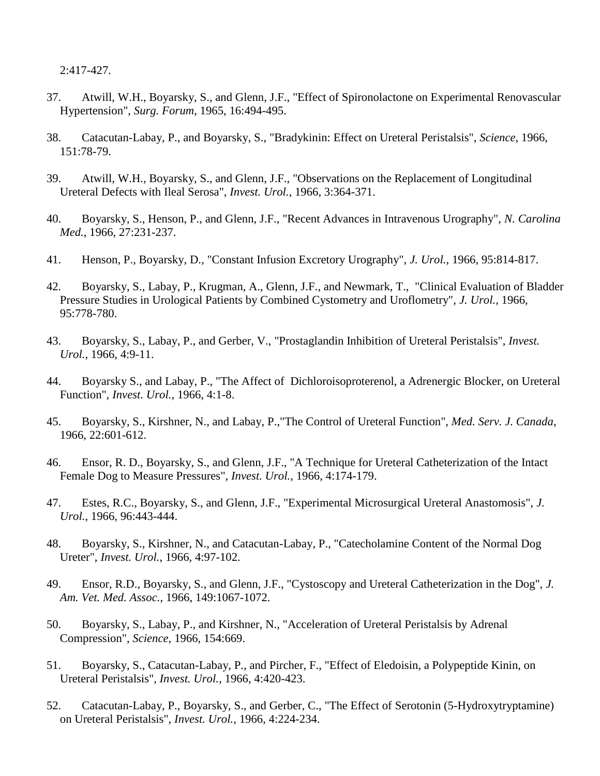2:417-427.

- 37. Atwill, W.H., Boyarsky, S., and Glenn, J.F., "Effect of Spironolactone on Experimental Renovascular Hypertension", *Surg. Forum*, 1965, 16:494-495.
- 38. Catacutan-Labay, P., and Boyarsky, S., "Bradykinin: Effect on Ureteral Peristalsis", *Science*, 1966, 151:78-79.
- 39. Atwill, W.H., Boyarsky, S., and Glenn, J.F., "Observations on the Replacement of Longitudinal Ureteral Defects with Ileal Serosa", *Invest. Urol.*, 1966, 3:364-371.
- 40. Boyarsky, S., Henson, P., and Glenn, J.F., "Recent Advances in Intravenous Urography", *N. Carolina Med.*, 1966, 27:231-237.
- 41. Henson, P., Boyarsky, D., "Constant Infusion Excretory Urography", *J. Urol.*, 1966, 95:814-817.
- 42. Boyarsky, S., Labay, P., Krugman, A., Glenn, J.F., and Newmark, T., "Clinical Evaluation of Bladder Pressure Studies in Urological Patients by Combined Cystometry and Uroflometry", *J. Urol.*, 1966, 95:778-780.
- 43. Boyarsky, S., Labay, P., and Gerber, V., "Prostaglandin Inhibition of Ureteral Peristalsis", *Invest. Urol.*, 1966, 4:9-11.
- 44. Boyarsky S., and Labay, P., "The Affect of Dichloroisoproterenol, a Adrenergic Blocker, on Ureteral Function", *Invest. Urol.*, 1966, 4:1-8.
- 45. Boyarsky, S., Kirshner, N., and Labay, P.,"The Control of Ureteral Function", *Med. Serv. J. Canada*, 1966, 22:601-612.
- 46. Ensor, R. D., Boyarsky, S., and Glenn, J.F., "A Technique for Ureteral Catheterization of the Intact Female Dog to Measure Pressures", *Invest. Urol.*, 1966, 4:174-179.
- 47. Estes, R.C., Boyarsky, S., and Glenn, J.F., "Experimental Microsurgical Ureteral Anastomosis", *J. Urol.*, 1966, 96:443-444.
- 48. Boyarsky, S., Kirshner, N., and Catacutan-Labay, P., "Catecholamine Content of the Normal Dog Ureter", *Invest. Urol.*, 1966, 4:97-102.
- 49. Ensor, R.D., Boyarsky, S., and Glenn, J.F., "Cystoscopy and Ureteral Catheterization in the Dog", *J. Am. Vet. Med. Assoc.*, 1966, 149:1067-1072.
- 50. Boyarsky, S., Labay, P., and Kirshner, N., "Acceleration of Ureteral Peristalsis by Adrenal Compression", *Science*, 1966, 154:669.
- 51. Boyarsky, S., Catacutan-Labay, P., and Pircher, F., "Effect of Eledoisin, a Polypeptide Kinin, on Ureteral Peristalsis", *Invest. Urol.*, 1966, 4:420-423.
- 52. Catacutan-Labay, P., Boyarsky, S., and Gerber, C., "The Effect of Serotonin (5-Hydroxytryptamine) on Ureteral Peristalsis", *Invest. Urol.*, 1966, 4:224-234.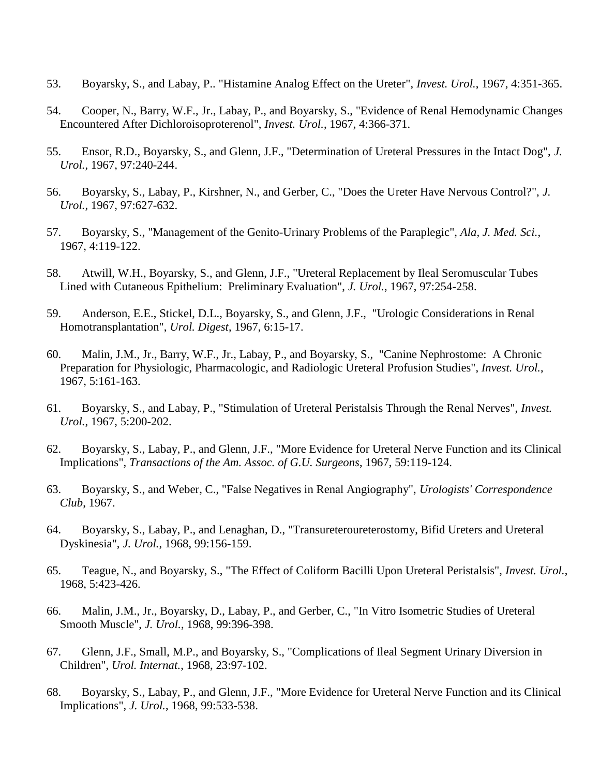- 53. Boyarsky, S., and Labay, P.. "Histamine Analog Effect on the Ureter", *Invest. Urol.*, 1967, 4:351-365.
- 54. Cooper, N., Barry, W.F., Jr., Labay, P., and Boyarsky, S., "Evidence of Renal Hemodynamic Changes Encountered After Dichloroisoproterenol", *Invest. Urol.*, 1967, 4:366-371.
- 55. Ensor, R.D., Boyarsky, S., and Glenn, J.F., "Determination of Ureteral Pressures in the Intact Dog", *J. Urol.*, 1967, 97:240-244.
- 56. Boyarsky, S., Labay, P., Kirshner, N., and Gerber, C., "Does the Ureter Have Nervous Control?", *J. Urol.*, 1967, 97:627-632.
- 57. Boyarsky, S., "Management of the Genito-Urinary Problems of the Paraplegic", *Ala, J. Med. Sci.*, 1967, 4:119-122.
- 58. Atwill, W.H., Boyarsky, S., and Glenn, J.F., "Ureteral Replacement by Ileal Seromuscular Tubes Lined with Cutaneous Epithelium: Preliminary Evaluation", *J. Urol.*, 1967, 97:254-258.
- 59. Anderson, E.E., Stickel, D.L., Boyarsky, S., and Glenn, J.F., "Urologic Considerations in Renal Homotransplantation", *Urol. Digest*, 1967, 6:15-17.
- 60. Malin, J.M., Jr., Barry, W.F., Jr., Labay, P., and Boyarsky, S., "Canine Nephrostome: A Chronic Preparation for Physiologic, Pharmacologic, and Radiologic Ureteral Profusion Studies", *Invest. Urol.*, 1967, 5:161-163.
- 61. Boyarsky, S., and Labay, P., "Stimulation of Ureteral Peristalsis Through the Renal Nerves", *Invest. Urol.*, 1967, 5:200-202.
- 62. Boyarsky, S., Labay, P., and Glenn, J.F., "More Evidence for Ureteral Nerve Function and its Clinical Implications", *Transactions of the Am. Assoc. of G.U. Surgeons*, 1967, 59:119-124.
- 63. Boyarsky, S., and Weber, C., "False Negatives in Renal Angiography", *Urologists' Correspondence Club*, 1967.
- 64. Boyarsky, S., Labay, P., and Lenaghan, D., "Transureteroureterostomy, Bifid Ureters and Ureteral Dyskinesia", *J. Urol.*, 1968, 99:156-159.
- 65. Teague, N., and Boyarsky, S., "The Effect of Coliform Bacilli Upon Ureteral Peristalsis", *Invest. Urol.*, 1968, 5:423-426.
- 66. Malin, J.M., Jr., Boyarsky, D., Labay, P., and Gerber, C., "In Vitro Isometric Studies of Ureteral Smooth Muscle", *J. Urol.*, 1968, 99:396-398.
- 67. Glenn, J.F., Small, M.P., and Boyarsky, S., "Complications of Ileal Segment Urinary Diversion in Children", *Urol. Internat.*, 1968, 23:97-102.
- 68. Boyarsky, S., Labay, P., and Glenn, J.F., "More Evidence for Ureteral Nerve Function and its Clinical Implications", *J. Urol.*, 1968, 99:533-538.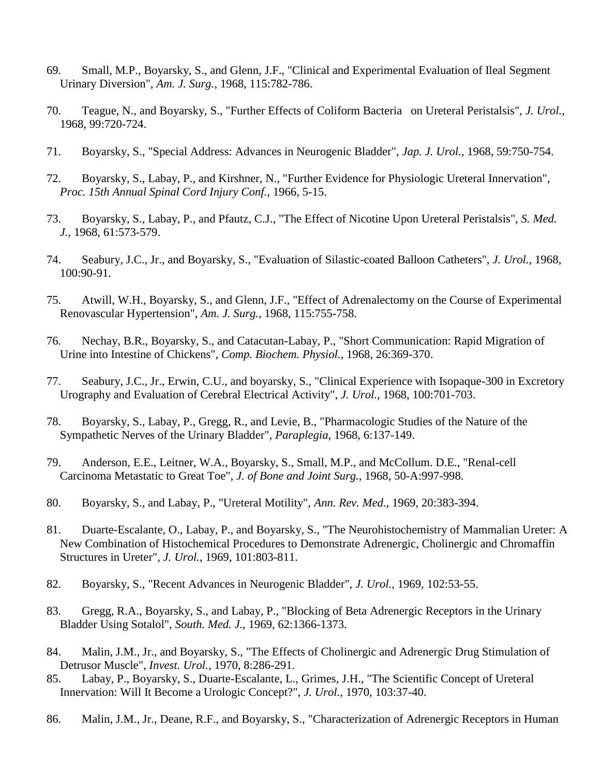- 69. Small, M.P., Boyarsky, S., and Glenn, J.F., "Clinical and Experimental Evaluation of Ileal Segment Urinary Diversion", *Am. J. Surg.*, 1968, 115:782-786.
- 70. Teague, N., and Boyarsky, S., "Further Effects of Coliform Bacteria on Ureteral Peristalsis", *J. Urol.*, 1968, 99:720-724.
- 71. Boyarsky, S., "Special Address: Advances in Neurogenic Bladder", *Jap. J. Urol.*, 1968, 59:750-754.
- 72. Boyarsky, S., Labay, P., and Kirshner, N., "Further Evidence for Physiologic Ureteral Innervation", *Proc. 15th Annual Spinal Cord Injury Conf.*, 1966, 5-15.
- 73. Boyarsky, S., Labay, P., and Pfautz, C.J., "The Effect of Nicotine Upon Ureteral Peristalsis", *S. Med. J.*, 1968, 61:573-579.
- 74. Seabury, J.C., Jr., and Boyarsky, S., "Evaluation of Silastic-coated Balloon Catheters", *J. Urol.*, 1968, 100:90-91.
- 75. Atwill, W.H., Boyarsky, S., and Glenn, J.F., "Effect of Adrenalectomy on the Course of Experimental Renovascular Hypertension", *Am. J. Surg.*, 1968, 115:755-758.
- 76. Nechay, B.R., Boyarsky, S., and Catacutan-Labay, P., "Short Communication: Rapid Migration of Urine into Intestine of Chickens", *Comp. Biochem. Physiol.*, 1968, 26:369-370.
- 77. Seabury, J.C., Jr., Erwin, C.U., and boyarsky, S., "Clinical Experience with Isopaque-300 in Excretory Urography and Evaluation of Cerebral Electrical Activity", *J. Urol.*, 1968, 100:701-703.
- 78. Boyarsky, S., Labay, P., Gregg, R., and Levie, B., "Pharmacologic Studies of the Nature of the Sympathetic Nerves of the Urinary Bladder", *Paraplegia*, 1968, 6:137-149.
- 79. Anderson, E.E., Leitner, W.A., Boyarsky, S., Small, M.P., and McCollum. D.E., "Renal-cell Carcinoma Metastatic to Great Toe", *J. of Bone and Joint Surg.*, 1968, 50-A:997-998.
- 80. Boyarsky, S., and Labay, P., "Ureteral Motility", *Ann. Rev. Med.*, 1969, 20:383-394.
- 81. Duarte-Escalante, O., Labay, P., and Boyarsky, S., "The Neurohistochemistry of Mammalian Ureter: A New Combination of Histochemical Procedures to Demonstrate Adrenergic, Cholinergic and Chromaffin Structures in Ureter", *J. Urol.*, 1969, 101:803-811.
- 82. Boyarsky, S., "Recent Advances in Neurogenic Bladder", *J. Urol.*, 1969, 102:53-55.
- 83. Gregg, R.A., Boyarsky, S., and Labay, P., "Blocking of Beta Adrenergic Receptors in the Urinary Bladder Using Sotalol", *South. Med. J.*, 1969, 62:1366-1373.
- 84. Malin, J.M., Jr., and Boyarsky, S., "The Effects of Cholinergic and Adrenergic Drug Stimulation of Detrusor Muscle", *Invest. Urol.*, 1970, 8:286-291.
- 85. Labay, P., Boyarsky, S., Duarte-Escalante, L., Grimes, J.H., "The Scientific Concept of Ureteral Innervation: Will It Become a Urologic Concept?", *J. Urol.*, 1970, 103:37-40.
- 86. Malin, J.M., Jr., Deane, R.F., and Boyarsky, S., "Characterization of Adrenergic Receptors in Human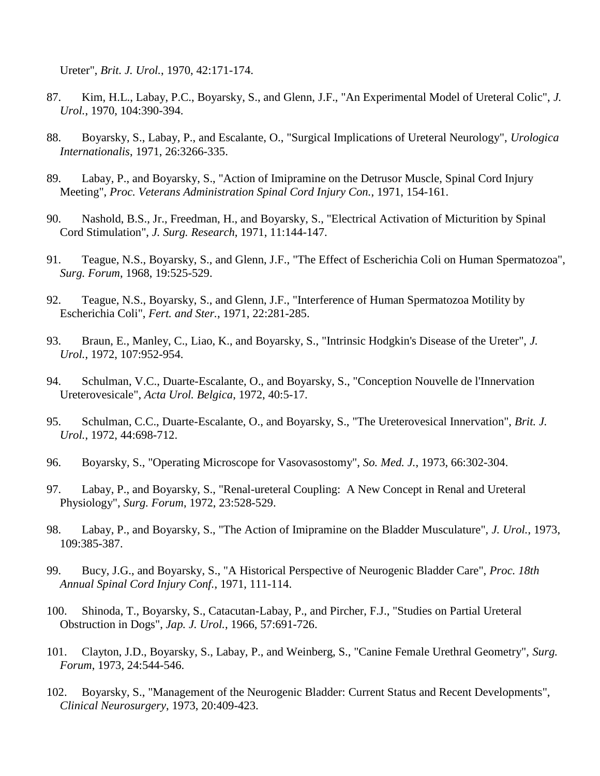Ureter", *Brit. J. Urol.*, 1970, 42:171-174.

- 87. Kim, H.L., Labay, P.C., Boyarsky, S., and Glenn, J.F., "An Experimental Model of Ureteral Colic", *J. Urol.*, 1970, 104:390-394.
- 88. Boyarsky, S., Labay, P., and Escalante, O., "Surgical Implications of Ureteral Neurology", *Urologica Internationalis*, 1971, 26:3266-335.
- 89. Labay, P., and Boyarsky, S., "Action of Imipramine on the Detrusor Muscle, Spinal Cord Injury Meeting", *Proc. Veterans Administration Spinal Cord Injury Con.*, 1971, 154-161.
- 90. Nashold, B.S., Jr., Freedman, H., and Boyarsky, S., "Electrical Activation of Micturition by Spinal Cord Stimulation", *J. Surg. Research*, 1971, 11:144-147.
- 91. Teague, N.S., Boyarsky, S., and Glenn, J.F., "The Effect of Escherichia Coli on Human Spermatozoa", *Surg. Forum*, 1968, 19:525-529.
- 92. Teague, N.S., Boyarsky, S., and Glenn, J.F., "Interference of Human Spermatozoa Motility by Escherichia Coli", *Fert. and Ster.*, 1971, 22:281-285.
- 93. Braun, E., Manley, C., Liao, K., and Boyarsky, S., "Intrinsic Hodgkin's Disease of the Ureter", *J. Urol.*, 1972, 107:952-954.
- 94. Schulman, V.C., Duarte-Escalante, O., and Boyarsky, S., "Conception Nouvelle de l'Innervation Ureterovesicale", *Acta Urol. Belgica*, 1972, 40:5-17.
- 95. Schulman, C.C., Duarte-Escalante, O., and Boyarsky, S., "The Ureterovesical Innervation", *Brit. J. Urol.*, 1972, 44:698-712.
- 96. Boyarsky, S., "Operating Microscope for Vasovasostomy", *So. Med. J.*, 1973, 66:302-304.
- 97. Labay, P., and Boyarsky, S., "Renal-ureteral Coupling: A New Concept in Renal and Ureteral Physiology", *Surg. Forum*, 1972, 23:528-529.
- 98. Labay, P., and Boyarsky, S., "The Action of Imipramine on the Bladder Musculature", *J. Urol.*, 1973, 109:385-387.
- 99. Bucy, J.G., and Boyarsky, S., "A Historical Perspective of Neurogenic Bladder Care", *Proc. 18th Annual Spinal Cord Injury Conf.*, 1971, 111-114.
- 100. Shinoda, T., Boyarsky, S., Catacutan-Labay, P., and Pircher, F.J., "Studies on Partial Ureteral Obstruction in Dogs", *Jap. J. Urol.*, 1966, 57:691-726.
- 101. Clayton, J.D., Boyarsky, S., Labay, P., and Weinberg, S., "Canine Female Urethral Geometry", *Surg. Forum*, 1973, 24:544-546.
- 102. Boyarsky, S., "Management of the Neurogenic Bladder: Current Status and Recent Developments", *Clinical Neurosurgery*, 1973, 20:409-423.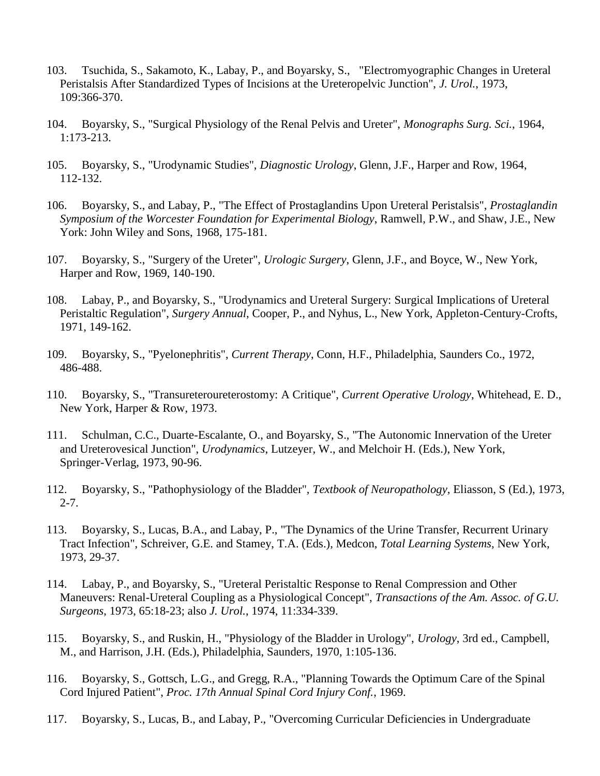- 103. Tsuchida, S., Sakamoto, K., Labay, P., and Boyarsky, S., "Electromyographic Changes in Ureteral Peristalsis After Standardized Types of Incisions at the Ureteropelvic Junction", *J. Urol.*, 1973, 109:366-370.
- 104. Boyarsky, S., "Surgical Physiology of the Renal Pelvis and Ureter", *Monographs Surg. Sci.*, 1964, 1:173-213.
- 105. Boyarsky, S., "Urodynamic Studies", *Diagnostic Urology*, Glenn, J.F., Harper and Row, 1964, 112-132.
- 106. Boyarsky, S., and Labay, P., "The Effect of Prostaglandins Upon Ureteral Peristalsis", *Prostaglandin Symposium of the Worcester Foundation for Experimental Biology*, Ramwell, P.W., and Shaw, J.E., New York: John Wiley and Sons, 1968, 175-181.
- 107. Boyarsky, S., "Surgery of the Ureter", *Urologic Surgery*, Glenn, J.F., and Boyce, W., New York, Harper and Row, 1969, 140-190.
- 108. Labay, P., and Boyarsky, S., "Urodynamics and Ureteral Surgery: Surgical Implications of Ureteral Peristaltic Regulation", *Surgery Annual*, Cooper, P., and Nyhus, L., New York, Appleton-Century-Crofts, 1971, 149-162.
- 109. Boyarsky, S., "Pyelonephritis", *Current Therapy*, Conn, H.F., Philadelphia, Saunders Co., 1972, 486-488.
- 110. Boyarsky, S., "Transureteroureterostomy: A Critique", *Current Operative Urology*, Whitehead, E. D., New York, Harper & Row, 1973.
- 111. Schulman, C.C., Duarte-Escalante, O., and Boyarsky, S., "The Autonomic Innervation of the Ureter and Ureterovesical Junction", *Urodynamics*, Lutzeyer, W., and Melchoir H. (Eds.), New York, Springer-Verlag, 1973, 90-96.
- 112. Boyarsky, S., "Pathophysiology of the Bladder", *Textbook of Neuropathology*, Eliasson, S (Ed.), 1973, 2-7.
- 113. Boyarsky, S., Lucas, B.A., and Labay, P., "The Dynamics of the Urine Transfer, Recurrent Urinary Tract Infection", Schreiver, G.E. and Stamey, T.A. (Eds.), Medcon, *Total Learning Systems*, New York, 1973, 29-37.
- 114. Labay, P., and Boyarsky, S., "Ureteral Peristaltic Response to Renal Compression and Other Maneuvers: Renal-Ureteral Coupling as a Physiological Concept", *Transactions of the Am. Assoc. of G.U. Surgeons*, 1973, 65:18-23; also *J. Urol.*, 1974, 11:334-339.
- 115. Boyarsky, S., and Ruskin, H., "Physiology of the Bladder in Urology", *Urology*, 3rd ed., Campbell, M., and Harrison, J.H. (Eds.), Philadelphia, Saunders, 1970, 1:105-136.
- 116. Boyarsky, S., Gottsch, L.G., and Gregg, R.A., "Planning Towards the Optimum Care of the Spinal Cord Injured Patient", *Proc. 17th Annual Spinal Cord Injury Conf.*, 1969.
- 117. Boyarsky, S., Lucas, B., and Labay, P., "Overcoming Curricular Deficiencies in Undergraduate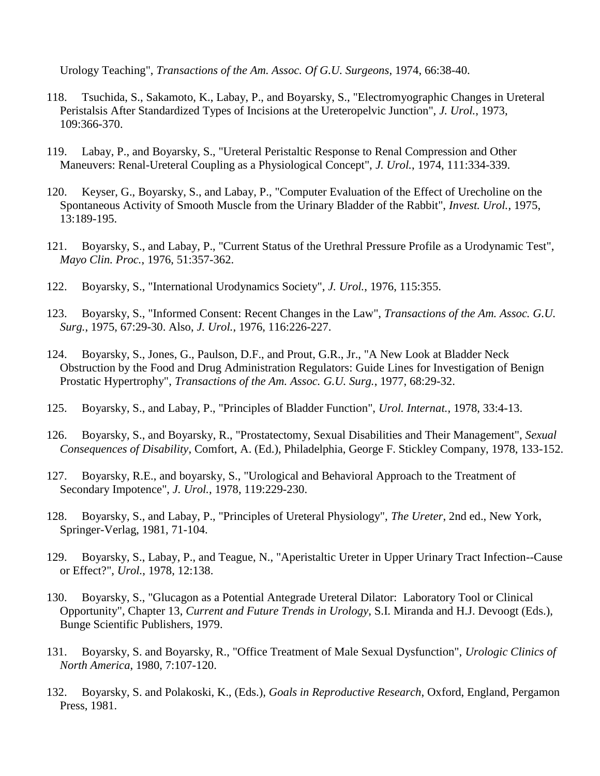Urology Teaching", *Transactions of the Am. Assoc. Of G.U. Surgeons*, 1974, 66:38-40.

- 118. Tsuchida, S., Sakamoto, K., Labay, P., and Boyarsky, S., "Electromyographic Changes in Ureteral Peristalsis After Standardized Types of Incisions at the Ureteropelvic Junction", *J. Urol.*, 1973, 109:366-370.
- 119. Labay, P., and Boyarsky, S., "Ureteral Peristaltic Response to Renal Compression and Other Maneuvers: Renal-Ureteral Coupling as a Physiological Concept", *J. Urol.*, 1974, 111:334-339.
- 120. Keyser, G., Boyarsky, S., and Labay, P., "Computer Evaluation of the Effect of Urecholine on the Spontaneous Activity of Smooth Muscle from the Urinary Bladder of the Rabbit", *Invest. Urol.*, 1975, 13:189-195.
- 121. Boyarsky, S., and Labay, P., "Current Status of the Urethral Pressure Profile as a Urodynamic Test", *Mayo Clin. Proc.*, 1976, 51:357-362.
- 122. Boyarsky, S., "International Urodynamics Society", *J. Urol.*, 1976, 115:355.
- 123. Boyarsky, S., "Informed Consent: Recent Changes in the Law", *Transactions of the Am. Assoc. G.U. Surg.*, 1975, 67:29-30. Also, *J. Urol.*, 1976, 116:226-227.
- 124. Boyarsky, S., Jones, G., Paulson, D.F., and Prout, G.R., Jr., "A New Look at Bladder Neck Obstruction by the Food and Drug Administration Regulators: Guide Lines for Investigation of Benign Prostatic Hypertrophy", *Transactions of the Am. Assoc. G.U. Surg.*, 1977, 68:29-32.
- 125. Boyarsky, S., and Labay, P., "Principles of Bladder Function", *Urol. Internat.*, 1978, 33:4-13.
- 126. Boyarsky, S., and Boyarsky, R., "Prostatectomy, Sexual Disabilities and Their Management", *Sexual Consequences of Disability*, Comfort, A. (Ed.), Philadelphia, George F. Stickley Company, 1978, 133-152.
- 127. Boyarsky, R.E., and boyarsky, S., "Urological and Behavioral Approach to the Treatment of Secondary Impotence", *J. Urol.*, 1978, 119:229-230.
- 128. Boyarsky, S., and Labay, P., "Principles of Ureteral Physiology", *The Ureter*, 2nd ed., New York, Springer-Verlag, 1981, 71-104.
- 129. Boyarsky, S., Labay, P., and Teague, N., "Aperistaltic Ureter in Upper Urinary Tract Infection--Cause or Effect?", *Urol.*, 1978, 12:138.
- 130. Boyarsky, S., "Glucagon as a Potential Antegrade Ureteral Dilator: Laboratory Tool or Clinical Opportunity", Chapter 13, *Current and Future Trends in Urology*, S.I. Miranda and H.J. Devoogt (Eds.), Bunge Scientific Publishers, 1979.
- 131. Boyarsky, S. and Boyarsky, R., "Office Treatment of Male Sexual Dysfunction", *Urologic Clinics of North America*, 1980, 7:107-120.
- 132. Boyarsky, S. and Polakoski, K., (Eds.), *Goals in Reproductive Research*, Oxford, England, Pergamon Press, 1981.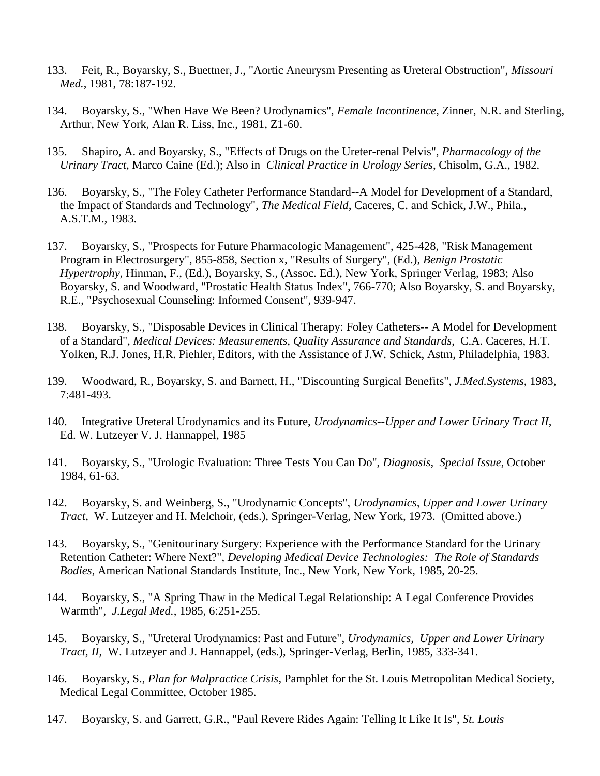- 133. Feit, R., Boyarsky, S., Buettner, J., "Aortic Aneurysm Presenting as Ureteral Obstruction", *Missouri Med.*, 1981, 78:187-192.
- 134. Boyarsky, S., "When Have We Been? Urodynamics", *Female Incontinence*, Zinner, N.R. and Sterling, Arthur, New York, Alan R. Liss, Inc., 1981, Z1-60.
- 135. Shapiro, A. and Boyarsky, S., "Effects of Drugs on the Ureter-renal Pelvis", *Pharmacology of the Urinary Tract*, Marco Caine (Ed.); Also in *Clinical Practice in Urology Series*, Chisolm, G.A., 1982.
- 136. Boyarsky, S., "The Foley Catheter Performance Standard--A Model for Development of a Standard, the Impact of Standards and Technology", *The Medical Field*, Caceres, C. and Schick, J.W., Phila., A.S.T.M., 1983.
- 137. Boyarsky, S., "Prospects for Future Pharmacologic Management", 425-428, "Risk Management Program in Electrosurgery", 855-858, Section x, "Results of Surgery", (Ed.), *Benign Prostatic Hypertrophy*, Hinman, F., (Ed.), Boyarsky, S., (Assoc. Ed.), New York, Springer Verlag, 1983; Also Boyarsky, S. and Woodward, "Prostatic Health Status Index", 766-770; Also Boyarsky, S. and Boyarsky, R.E., "Psychosexual Counseling: Informed Consent", 939-947.
- 138. Boyarsky, S., "Disposable Devices in Clinical Therapy: Foley Catheters-- A Model for Development of a Standard", *Medical Devices: Measurements, Quality Assurance and Standards*, C.A. Caceres, H.T. Yolken, R.J. Jones, H.R. Piehler, Editors, with the Assistance of J.W. Schick, Astm, Philadelphia, 1983.
- 139. Woodward, R., Boyarsky, S. and Barnett, H., "Discounting Surgical Benefits", *J.Med.Systems*, 1983, 7:481-493.
- 140. Integrative Ureteral Urodynamics and its Future, *Urodynamics--Upper and Lower Urinary Tract II*, Ed. W. Lutzeyer V. J. Hannappel, 1985
- 141. Boyarsky, S., "Urologic Evaluation: Three Tests You Can Do", *Diagnosis, Special Issue*, October 1984, 61-63.
- 142. Boyarsky, S. and Weinberg, S., "Urodynamic Concepts", *Urodynamics, Upper and Lower Urinary Tract*, W. Lutzeyer and H. Melchoir, (eds.), Springer-Verlag, New York, 1973. (Omitted above.)
- 143. Boyarsky, S., "Genitourinary Surgery: Experience with the Performance Standard for the Urinary Retention Catheter: Where Next?", *Developing Medical Device Technologies: The Role of Standards Bodies*, American National Standards Institute, Inc., New York, New York, 1985, 20-25.
- 144. Boyarsky, S., "A Spring Thaw in the Medical Legal Relationship: A Legal Conference Provides Warmth", *J.Legal Med.*, 1985, 6:251-255.
- 145. Boyarsky, S., "Ureteral Urodynamics: Past and Future", *Urodynamics, Upper and Lower Urinary Tract, II*, W. Lutzeyer and J. Hannappel, (eds.), Springer-Verlag, Berlin, 1985, 333-341.
- 146. Boyarsky, S., *Plan for Malpractice Crisis*, Pamphlet for the St. Louis Metropolitan Medical Society, Medical Legal Committee, October 1985.
- 147. Boyarsky, S. and Garrett, G.R., "Paul Revere Rides Again: Telling It Like It Is", *St. Louis*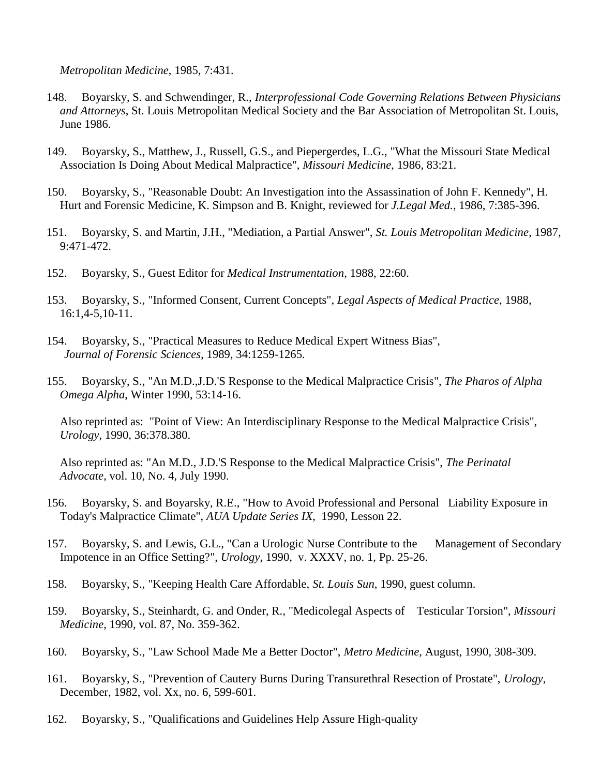*Metropolitan Medicine*, 1985, 7:431.

- 148. Boyarsky, S. and Schwendinger, R., *Interprofessional Code Governing Relations Between Physicians and Attorneys*, St. Louis Metropolitan Medical Society and the Bar Association of Metropolitan St. Louis, June 1986.
- 149. Boyarsky, S., Matthew, J., Russell, G.S., and Piepergerdes, L.G., "What the Missouri State Medical Association Is Doing About Medical Malpractice", *Missouri Medicine*, 1986, 83:21.
- 150. Boyarsky, S., "Reasonable Doubt: An Investigation into the Assassination of John F. Kennedy", H. Hurt and Forensic Medicine, K. Simpson and B. Knight, reviewed for *J.Legal Med.*, 1986, 7:385-396.
- 151. Boyarsky, S. and Martin, J.H., "Mediation, a Partial Answer", *St. Louis Metropolitan Medicine*, 1987, 9:471-472.
- 152. Boyarsky, S., Guest Editor for *Medical Instrumentation*, 1988, 22:60.
- 153. Boyarsky, S., "Informed Consent, Current Concepts", *Legal Aspects of Medical Practice*, 1988, 16:1,4-5,10-11.
- 154. Boyarsky, S., "Practical Measures to Reduce Medical Expert Witness Bias", *Journal of Forensic Sciences*, 1989, 34:1259-1265.
- 155. Boyarsky, S., "An M.D.,J.D.'S Response to the Medical Malpractice Crisis", *The Pharos of Alpha Omega Alpha*, Winter 1990, 53:14-16.

Also reprinted as: "Point of View: An Interdisciplinary Response to the Medical Malpractice Crisis", *Urology*, 1990, 36:378.380.

Also reprinted as: "An M.D., J.D.'S Response to the Medical Malpractice Crisis", *The Perinatal Advocate*, vol. 10, No. 4, July 1990.

- 156. Boyarsky, S. and Boyarsky, R.E., "How to Avoid Professional and Personal Liability Exposure in Today's Malpractice Climate", *AUA Update Series IX*, 1990, Lesson 22.
- 157. Boyarsky, S. and Lewis, G.L., "Can a Urologic Nurse Contribute to the Management of Secondary Impotence in an Office Setting?", *Urology*, 1990, v. XXXV, no. 1, Pp. 25-26.
- 158. Boyarsky, S., "Keeping Health Care Affordable, *St. Louis Sun*, 1990, guest column.
- 159. Boyarsky, S., Steinhardt, G. and Onder, R., "Medicolegal Aspects of Testicular Torsion", *Missouri Medicine*, 1990, vol. 87, No. 359-362.
- 160. Boyarsky, S., "Law School Made Me a Better Doctor", *Metro Medicine*, August, 1990, 308-309.
- 161. Boyarsky, S., "Prevention of Cautery Burns During Transurethral Resection of Prostate", *Urology*, December, 1982, vol. Xx, no. 6, 599-601.
- 162. Boyarsky, S., "Qualifications and Guidelines Help Assure High-quality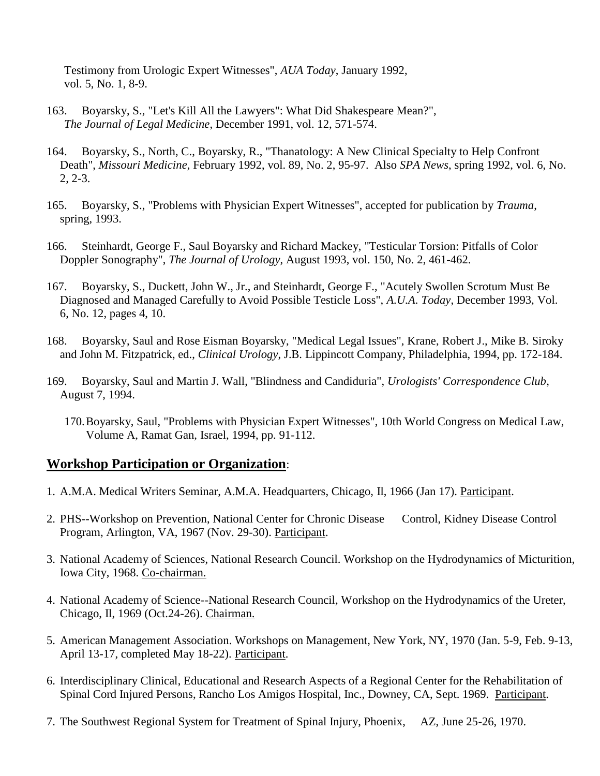Testimony from Urologic Expert Witnesses", *AUA Today*, January 1992, vol. 5, No. 1, 8-9.

- 163. Boyarsky, S., "Let's Kill All the Lawyers": What Did Shakespeare Mean?", *The Journal of Legal Medicine*, December 1991, vol. 12, 571-574.
- 164. Boyarsky, S., North, C., Boyarsky, R., "Thanatology: A New Clinical Specialty to Help Confront Death", *Missouri Medicine*, February 1992, vol. 89, No. 2, 95-97. Also *SPA News*, spring 1992, vol. 6, No. 2, 2-3.
- 165. Boyarsky, S., "Problems with Physician Expert Witnesses", accepted for publication by *Trauma*, spring, 1993.
- 166. Steinhardt, George F., Saul Boyarsky and Richard Mackey, "Testicular Torsion: Pitfalls of Color Doppler Sonography", *The Journal of Urology*, August 1993, vol. 150, No. 2, 461-462.
- 167. Boyarsky, S., Duckett, John W., Jr., and Steinhardt, George F., "Acutely Swollen Scrotum Must Be Diagnosed and Managed Carefully to Avoid Possible Testicle Loss", *A.U.A. Today*, December 1993, Vol. 6, No. 12, pages 4, 10.
- 168. Boyarsky, Saul and Rose Eisman Boyarsky, "Medical Legal Issues", Krane, Robert J., Mike B. Siroky and John M. Fitzpatrick, ed., *Clinical Urology*, J.B. Lippincott Company, Philadelphia, 1994, pp. 172-184.
- 169. Boyarsky, Saul and Martin J. Wall, "Blindness and Candiduria", *Urologists' Correspondence Club*, August 7, 1994.
	- 170.Boyarsky, Saul, "Problems with Physician Expert Witnesses", 10th World Congress on Medical Law, Volume A, Ramat Gan, Israel, 1994, pp. 91-112.

### **Workshop Participation or Organization**:

- 1. A.M.A. Medical Writers Seminar, A.M.A. Headquarters, Chicago, Il, 1966 (Jan 17). Participant.
- 2. PHS--Workshop on Prevention, National Center for Chronic Disease Control, Kidney Disease Control Program, Arlington, VA, 1967 (Nov. 29-30). Participant.
- 3. National Academy of Sciences, National Research Council. Workshop on the Hydrodynamics of Micturition, Iowa City, 1968. Co-chairman.
- 4. National Academy of Science--National Research Council, Workshop on the Hydrodynamics of the Ureter, Chicago, Il, 1969 (Oct.24-26). Chairman.
- 5. American Management Association. Workshops on Management, New York, NY, 1970 (Jan. 5-9, Feb. 9-13, April 13-17, completed May 18-22). Participant.
- 6. Interdisciplinary Clinical, Educational and Research Aspects of a Regional Center for the Rehabilitation of Spinal Cord Injured Persons, Rancho Los Amigos Hospital, Inc., Downey, CA, Sept. 1969. Participant.
- 7. The Southwest Regional System for Treatment of Spinal Injury, Phoenix, AZ, June 25-26, 1970.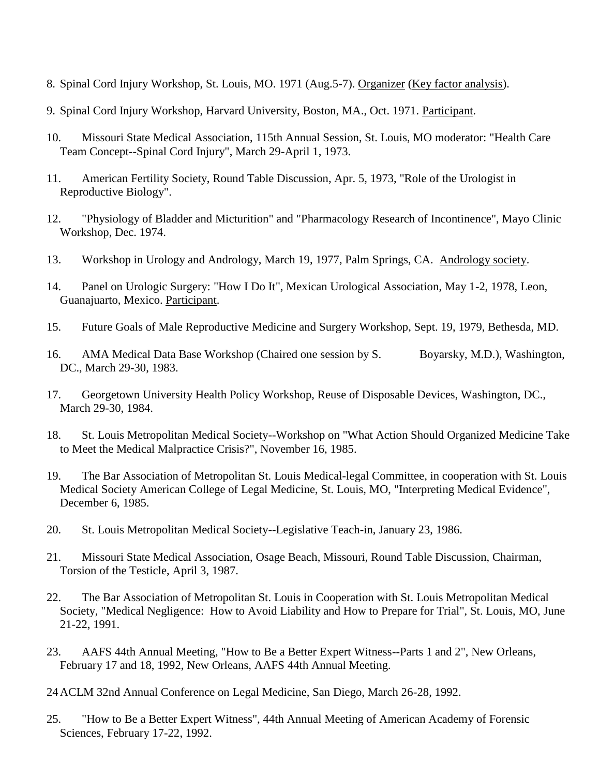- 8. Spinal Cord Injury Workshop, St. Louis, MO. 1971 (Aug.5-7). Organizer (Key factor analysis).
- 9. Spinal Cord Injury Workshop, Harvard University, Boston, MA., Oct. 1971. Participant.
- 10. Missouri State Medical Association, 115th Annual Session, St. Louis, MO moderator: "Health Care Team Concept--Spinal Cord Injury", March 29-April 1, 1973.
- 11. American Fertility Society, Round Table Discussion, Apr. 5, 1973, "Role of the Urologist in Reproductive Biology".
- 12. "Physiology of Bladder and Micturition" and "Pharmacology Research of Incontinence", Mayo Clinic Workshop, Dec. 1974.
- 13. Workshop in Urology and Andrology, March 19, 1977, Palm Springs, CA. Andrology society.
- 14. Panel on Urologic Surgery: "How I Do It", Mexican Urological Association, May 1-2, 1978, Leon, Guanajuarto, Mexico. Participant.
- 15. Future Goals of Male Reproductive Medicine and Surgery Workshop, Sept. 19, 1979, Bethesda, MD.
- 16. AMA Medical Data Base Workshop (Chaired one session by S. Boyarsky, M.D.), Washington, DC., March 29-30, 1983.
- 17. Georgetown University Health Policy Workshop, Reuse of Disposable Devices, Washington, DC., March 29-30, 1984.
- 18. St. Louis Metropolitan Medical Society--Workshop on "What Action Should Organized Medicine Take to Meet the Medical Malpractice Crisis?", November 16, 1985.
- 19. The Bar Association of Metropolitan St. Louis Medical-legal Committee, in cooperation with St. Louis Medical Society American College of Legal Medicine, St. Louis, MO, "Interpreting Medical Evidence", December 6, 1985.
- 20. St. Louis Metropolitan Medical Society--Legislative Teach-in, January 23, 1986.
- 21. Missouri State Medical Association, Osage Beach, Missouri, Round Table Discussion, Chairman, Torsion of the Testicle, April 3, 1987.
- 22. The Bar Association of Metropolitan St. Louis in Cooperation with St. Louis Metropolitan Medical Society, "Medical Negligence: How to Avoid Liability and How to Prepare for Trial", St. Louis, MO, June 21-22, 1991.
- 23. AAFS 44th Annual Meeting, "How to Be a Better Expert Witness--Parts 1 and 2", New Orleans, February 17 and 18, 1992, New Orleans, AAFS 44th Annual Meeting.
- 24ACLM 32nd Annual Conference on Legal Medicine, San Diego, March 26-28, 1992.
- 25. "How to Be a Better Expert Witness", 44th Annual Meeting of American Academy of Forensic Sciences, February 17-22, 1992.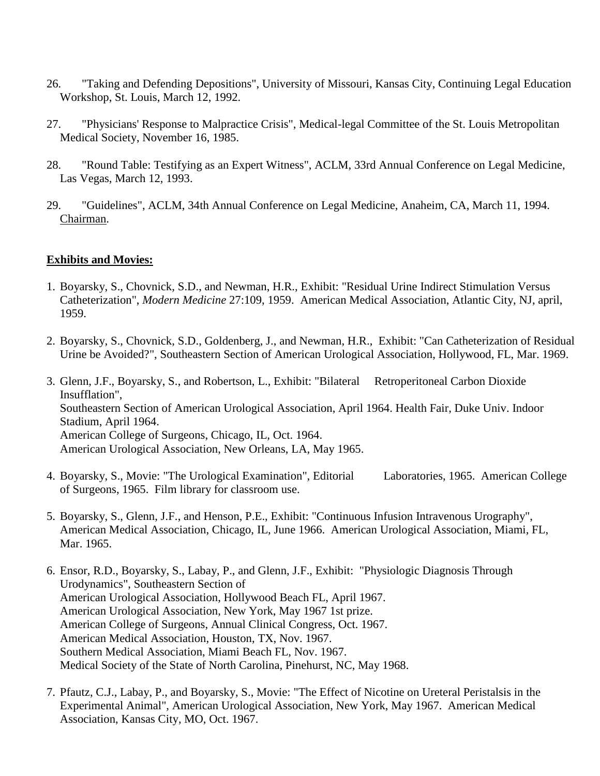- 26. "Taking and Defending Depositions", University of Missouri, Kansas City, Continuing Legal Education Workshop, St. Louis, March 12, 1992.
- 27. "Physicians' Response to Malpractice Crisis", Medical-legal Committee of the St. Louis Metropolitan Medical Society, November 16, 1985.
- 28. "Round Table: Testifying as an Expert Witness", ACLM, 33rd Annual Conference on Legal Medicine, Las Vegas, March 12, 1993.
- 29. "Guidelines", ACLM, 34th Annual Conference on Legal Medicine, Anaheim, CA, March 11, 1994. Chairman.

#### **Exhibits and Movies:**

- 1. Boyarsky, S., Chovnick, S.D., and Newman, H.R., Exhibit: "Residual Urine Indirect Stimulation Versus Catheterization", *Modern Medicine* 27:109, 1959. American Medical Association, Atlantic City, NJ, april, 1959.
- 2. Boyarsky, S., Chovnick, S.D., Goldenberg, J., and Newman, H.R., Exhibit: "Can Catheterization of Residual Urine be Avoided?", Southeastern Section of American Urological Association, Hollywood, FL, Mar. 1969.
- 3. Glenn, J.F., Boyarsky, S., and Robertson, L., Exhibit: "Bilateral Retroperitoneal Carbon Dioxide Insufflation", Southeastern Section of American Urological Association, April 1964. Health Fair, Duke Univ. Indoor Stadium, April 1964. American College of Surgeons, Chicago, IL, Oct. 1964. American Urological Association, New Orleans, LA, May 1965.
- 4. Boyarsky, S., Movie: "The Urological Examination", Editorial Laboratories, 1965. American College of Surgeons, 1965. Film library for classroom use.
- 5. Boyarsky, S., Glenn, J.F., and Henson, P.E., Exhibit: "Continuous Infusion Intravenous Urography", American Medical Association, Chicago, IL, June 1966. American Urological Association, Miami, FL, Mar. 1965.
- 6. Ensor, R.D., Boyarsky, S., Labay, P., and Glenn, J.F., Exhibit: "Physiologic Diagnosis Through Urodynamics", Southeastern Section of American Urological Association, Hollywood Beach FL, April 1967. American Urological Association, New York, May 1967 1st prize. American College of Surgeons, Annual Clinical Congress, Oct. 1967. American Medical Association, Houston, TX, Nov. 1967. Southern Medical Association, Miami Beach FL, Nov. 1967. Medical Society of the State of North Carolina, Pinehurst, NC, May 1968.
- 7. Pfautz, C.J., Labay, P., and Boyarsky, S., Movie: "The Effect of Nicotine on Ureteral Peristalsis in the Experimental Animal", American Urological Association, New York, May 1967. American Medical Association, Kansas City, MO, Oct. 1967.